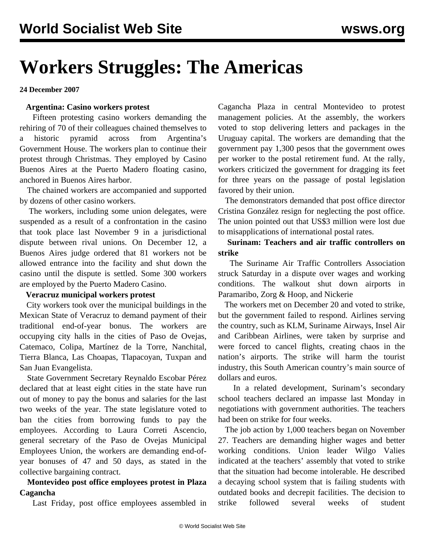# **Workers Struggles: The Americas**

**24 December 2007**

#### **Argentina: Casino workers protest**

 Fifteen protesting casino workers demanding the rehiring of 70 of their colleagues chained themselves to a historic pyramid across from Argentina's Government House. The workers plan to continue their protest through Christmas. They employed by Casino Buenos Aires at the Puerto Madero floating casino, anchored in Buenos Aires harbor.

 The chained workers are accompanied and supported by dozens of other casino workers.

 The workers, including some union delegates, were suspended as a result of a confrontation in the casino that took place last November 9 in a jurisdictional dispute between rival unions. On December 12, a Buenos Aires judge ordered that 81 workers not be allowed entrance into the facility and shut down the casino until the dispute is settled. Some 300 workers are employed by the Puerto Madero Casino.

#### **Veracruz municipal workers protest**

 City workers took over the municipal buildings in the Mexican State of Veracruz to demand payment of their traditional end-of-year bonus. The workers are occupying city halls in the cities of Paso de Ovejas, Catemaco, Colipa, Martínez de la Torre, Nanchital, Tierra Blanca, Las Choapas, Tlapacoyan, Tuxpan and San Juan Evangelista.

 State Government Secretary Reynaldo Escobar Pérez declared that at least eight cities in the state have run out of money to pay the bonus and salaries for the last two weeks of the year. The state legislature voted to ban the cities from borrowing funds to pay the employees. According to Laura Correti Ascencio, general secretary of the Paso de Ovejas Municipal Employees Union, the workers are demanding end-ofyear bonuses of 47 and 50 days, as stated in the collective bargaining contract.

# **Montevideo post office employees protest in Plaza Cagancha**

Last Friday, post office employees assembled in

Cagancha Plaza in central Montevideo to protest management policies. At the assembly, the workers voted to stop delivering letters and packages in the Uruguay capital. The workers are demanding that the government pay 1,300 pesos that the government owes per worker to the postal retirement fund. At the rally, workers criticized the government for dragging its feet for three years on the passage of postal legislation favored by their union.

 The demonstrators demanded that post office director Cristina González resign for neglecting the post office. The union pointed out that US\$3 million were lost due to misapplications of international postal rates.

 **Surinam: Teachers and air traffic controllers on strike**

 The Suriname Air Traffic Controllers Association struck Saturday in a dispute over wages and working conditions. The walkout shut down airports in Paramaribo, Zorg & Hoop, and Nickerie

 The workers met on December 20 and voted to strike, but the government failed to respond. Airlines serving the country, such as KLM, Suriname Airways, Insel Air and Caribbean Airlines, were taken by surprise and were forced to cancel flights, creating chaos in the nation's airports. The strike will harm the tourist industry, this South American country's main source of dollars and euros.

 In a related development, Surinam's secondary school teachers declared an impasse last Monday in negotiations with government authorities. The teachers had been on strike for four weeks.

 The job action by 1,000 teachers began on November 27. Teachers are demanding higher wages and better working conditions. Union leader Wilgo Valies indicated at the teachers' assembly that voted to strike that the situation had become intolerable. He described a decaying school system that is failing students with outdated books and decrepit facilities. The decision to strike followed several weeks of student